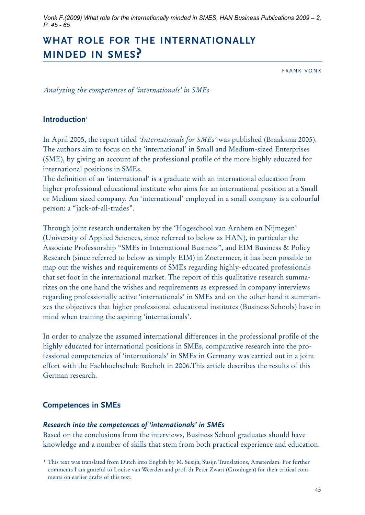Vonk F. (2009) What role for the internationally minded in SMES, HAN Business Publications 2009 - 2.  $P.45 - 65$ 

# **what role for the internationally minded in smes?**

FRANK VONK

*Analyzing the competences of 'internationals' in SMEs*

## **Introduction1**

In April 2005, the report titled *'Internationals for SMEs'* was published (Braaksma 2005). The authors aim to focus on the 'international' in Small and Medium-sized Enterprises (SME), by giving an account of the professional profile of the more highly educated for international positions in SMEs.

The definition of an 'international' is a graduate with an international education from higher professional educational institute who aims for an international position at a Small or Medium sized company. An 'international' employed in a small company is a colourful person: a "jack-of-all-trades".

Through joint research undertaken by the 'Hogeschool van Arnhem en Nijmegen' (University of Applied Sciences, since referred to below as HAN), in particular the Associate Professorship "SMEs in International Business", and EIM Business & Policy Research (since referred to below as simply EIM) in Zoetermeer, it has been possible to map out the wishes and requirements of SMEs regarding highly-educated professionals that set foot in the international market. The report of this qualitative research summarizes on the one hand the wishes and requirements as expressed in company interviews regarding professionally active 'internationals' in SMEs and on the other hand it summarizes the objectives that higher professional educational institutes (Business Schools) have in mind when training the aspiring 'internationals'.

In order to analyze the assumed international differences in the professional profile of the highly educated for international positions in SMEs, comparative research into the professional competencies of 'internationals' in SMEs in Germany was carried out in a joint effort with the Fachhochschule Bocholt in 2006.This article describes the results of this German research.

## **Competences in SMEs**

#### *Research into the competences of 'internationals' in SMEs*

Based on the conclusions from the interviews, Business School graduates should have knowledge and a number of skills that stem from both practical experience and education.

<sup>1</sup> This text was translated from Dutch into English by M. Susijn, Susijn Translations, Amsterdam. For further comments I am grateful to Louise van Weerden and prof. dr Peter Zwart (Groningen) for their critical comments on earlier drafts of this text.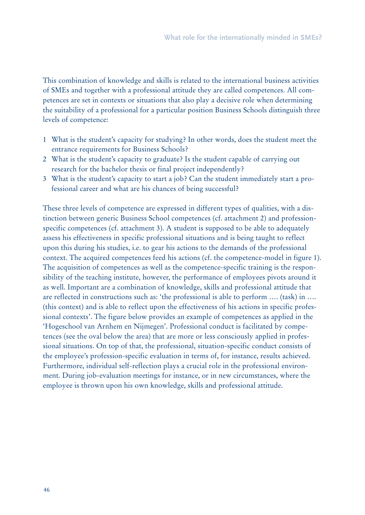This combination of knowledge and skills is related to the international business activities of SMEs and together with a professional attitude they are called competences. All competences are set in contexts or situations that also play a decisive role when determining the suitability of a professional for a particular position Business Schools distinguish three levels of competence:

- 1 What is the student's capacity for studying? In other words, does the student meet the entrance requirements for Business Schools?
- 2 What is the student's capacity to graduate? Is the student capable of carrying out research for the bachelor thesis or final project independently?
- 3 What is the student's capacity to start a job? Can the student immediately start a professional career and what are his chances of being successful?

These three levels of competence are expressed in different types of qualities, with a distinction between generic Business School competences (cf. attachment 2) and professionspecific competences (cf. attachment 3). A student is supposed to be able to adequately assess his effectiveness in specific professional situations and is being taught to reflect upon this during his studies, i.e. to gear his actions to the demands of the professional context. The acquired competences feed his actions (cf. the competence-model in figure 1). The acquisition of competences as well as the competence-specific training is the responsibility of the teaching institute, however, the performance of employees pivots around it as well. Important are a combination of knowledge, skills and professional attitude that are reflected in constructions such as: 'the professional is able to perform …. (task) in …. (this context) and is able to reflect upon the effectiveness of his actions in specific professional contexts'. The figure below provides an example of competences as applied in the 'Hogeschool van Arnhem en Nijmegen'. Professional conduct is facilitated by competences (see the oval below the area) that are more or less consciously applied in professional situations. On top of that, the professional, situation-specific conduct consists of the employee's profession-specific evaluation in terms of, for instance, results achieved. Furthermore, individual self-reflection plays a crucial role in the professional environment. During job-evaluation meetings for instance, or in new circumstances, where the employee is thrown upon his own knowledge, skills and professional attitude.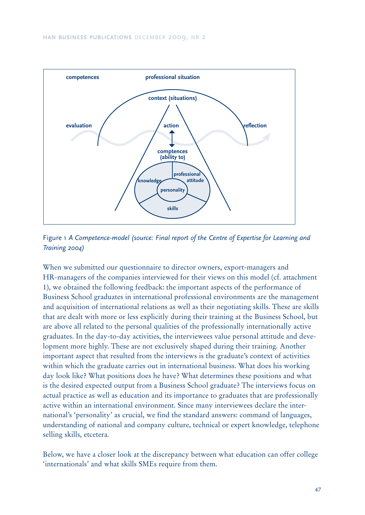

Figure 1 *A Competence-model (source: Final report of the Centre of Expertise for Learning and Training 2004)*

When we submitted our questionnaire to director owners, export-managers and HR-managers of the companies interviewed for their views on this model (cf. attachment 1), we obtained the following feedback: the important aspects of the performance of Business School graduates in international professional environments are the management and acquisition of international relations as well as their negotiating skills. These are skills that are dealt with more or less explicitly during their training at the Business School, but are above all related to the personal qualities of the professionally internationally active graduates. In the day-to-day activities, the interviewees value personal attitude and development more highly. These are not exclusively shaped during their training. Another important aspect that resulted from the interviews is the graduate's context of activities within which the graduate carries out in international business. What does his working day look like? What positions does he have? What determines these positions and what is the desired expected output from a Business School graduate? The interviews focus on actual practice as well as education and its importance to graduates that are professionally active within an international environment. Since many interviewees declare the international's 'personality' as crucial, we find the standard answers: command of languages, understanding of national and company culture, technical or expert knowledge, telephone selling skills, etcetera.

Below, we have a closer look at the discrepancy between what education can offer college 'internationals' and what skills SMEs require from them.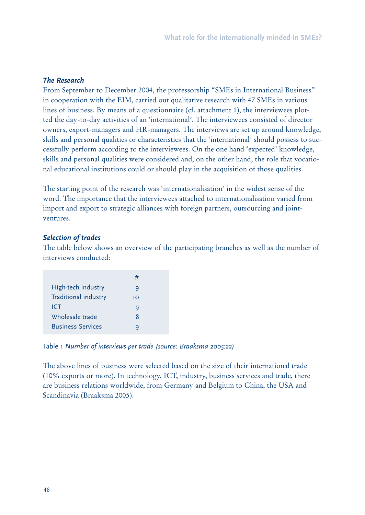#### *The Research*

From September to December 2004, the professorship "SMEs in International Business" in cooperation with the EIM, carried out qualitative research with 47 SMEs in various lines of business. By means of a questionnaire (cf. attachment 1), the interviewees plotted the day-to-day activities of an 'international'. The interviewees consisted of director owners, export-managers and HR-managers. The interviews are set up around knowledge, skills and personal qualities or characteristics that the 'international' should possess to successfully perform according to the interviewees. On the one hand 'expected' knowledge, skills and personal qualities were considered and, on the other hand, the role that vocational educational institutions could or should play in the acquisition of those qualities.

The starting point of the research was 'internationalisation' in the widest sense of the word. The importance that the interviewees attached to internationalisation varied from import and export to strategic alliances with foreign partners, outsourcing and jointventures.

#### *Selection of trades*

The table below shows an overview of the participating branches as well as the number of interviews conducted:

|                          | #  |
|--------------------------|----|
| High-tech industry       | ٩  |
| Traditional industry     | 10 |
| ICT                      | ٩  |
| Wholesale trade          | 8  |
| <b>Business Services</b> | g  |

Table 1 *Number of interviews per trade (source: Braaksma 2005:22)*

The above lines of business were selected based on the size of their international trade (10% exports or more). In technology, ICT, industry, business services and trade, there are business relations worldwide, from Germany and Belgium to China, the USA and Scandinavia (Braaksma 2005).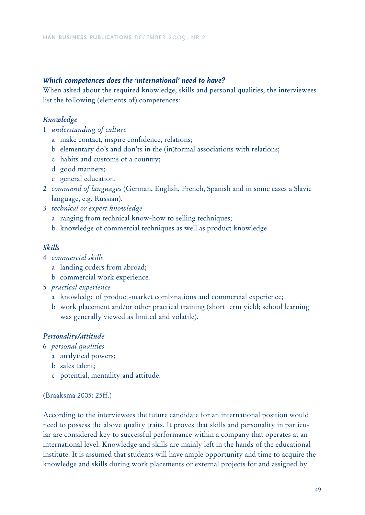## *Which competences does the 'international' need to have?*

When asked about the required knowledge, skills and personal qualities, the interviewees list the following (elements of) competences:

# *Knowledge*

- 1 *understanding of culture*
	- a make contact, inspire confidence, relations;
	- b elementary do's and don'ts in the (in)formal associations with relations;
	- c habits and customs of a country;
	- d good manners;
	- e general education.
- 2 *command of languages* (German, English, French, Spanish and in some cases a Slavic language, e.g. Russian).
- 3 *technical or expert knowledge*
	- a ranging from technical know-how to selling techniques;
	- b knowledge of commercial techniques as well as product knowledge.

## *Skills*

- 4 *commercial skills*
	- a landing orders from abroad;
	- b commercial work experience.
- 5 *practical experience*
	- a knowledge of product-market combinations and commercial experience;
	- b work placement and/or other practical training (short term yield; school learning was generally viewed as limited and volatile).

## *Personality/attitude*

- 6 *personal qualities*
	- a analytical powers;
	- b sales talent;
	- c potential, mentality and attitude.

## (Braaksma 2005: 25ff.)

According to the interviewees the future candidate for an international position would need to possess the above quality traits. It proves that skills and personality in particular are considered key to successful performance within a company that operates at an international level. Knowledge and skills are mainly left in the hands of the educational institute. It is assumed that students will have ample opportunity and time to acquire the knowledge and skills during work placements or external projects for and assigned by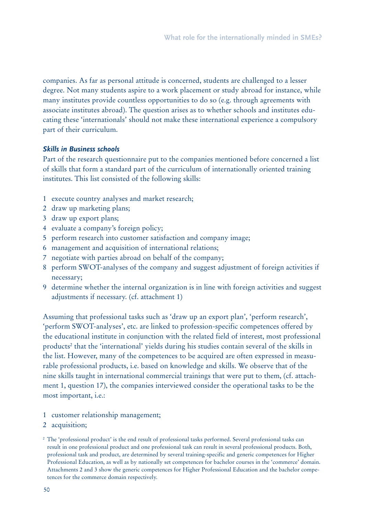companies. As far as personal attitude is concerned, students are challenged to a lesser degree. Not many students aspire to a work placement or study abroad for instance, while many institutes provide countless opportunities to do so (e.g. through agreements with associate institutes abroad). The question arises as to whether schools and institutes educating these 'internationals' should not make these international experience a compulsory part of their curriculum.

#### *Skills in Business schools*

Part of the research questionnaire put to the companies mentioned before concerned a list of skills that form a standard part of the curriculum of internationally oriented training institutes. This list consisted of the following skills:

- 1 execute country analyses and market research;
- 2 draw up marketing plans;
- 3 draw up export plans;
- 4 evaluate a company's foreign policy;
- 5 perform research into customer satisfaction and company image;
- 6 management and acquisition of international relations;
- 7 negotiate with parties abroad on behalf of the company;
- 8 perform SWOT-analyses of the company and suggest adjustment of foreign activities if necessary;
- 9 determine whether the internal organization is in line with foreign activities and suggest adjustments if necessary. (cf. attachment 1)

Assuming that professional tasks such as 'draw up an export plan', 'perform research', 'perform SWOT-analyses', etc. are linked to profession-specific competences offered by the educational institute in conjunction with the related field of interest, most professional products<sup>2</sup> that the 'international' yields during his studies contain several of the skills in the list. However, many of the competences to be acquired are often expressed in measurable professional products, i.e. based on knowledge and skills. We observe that of the nine skills taught in international commercial trainings that were put to them, (cf. attachment 1, question 17), the companies interviewed consider the operational tasks to be the most important, i.e.:

- 1 customer relationship management;
- 2 acquisition;

<sup>2</sup> The 'professional product' is the end result of professional tasks performed. Several professional tasks can result in one professional product and one professional task can result in several professional products. Both, professional task and product, are determined by several training-specific and generic competences for Higher Professional Education, as well as by nationally set competences for bachelor courses in the 'commerce' domain. Attachments 2 and 3 show the generic competences for Higher Professional Education and the bachelor competences for the commerce domain respectively.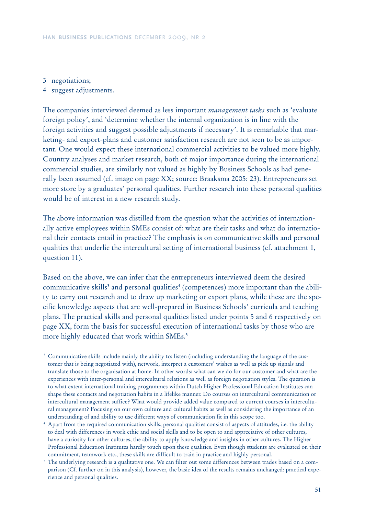- 3 negotiations;
- 4 suggest adjustments.

The companies interviewed deemed as less important *management tasks* such as 'evaluate foreign policy', and 'determine whether the internal organization is in line with the foreign activities and suggest possible adjustments if necessary'. It is remarkable that marketing- and export-plans and customer satisfaction research are not seen to be as important. One would expect these international commercial activities to be valued more highly. Country analyses and market research, both of major importance during the international commercial studies, are similarly not valued as highly by Business Schools as had generally been assumed (cf. image on page XX; source: Braaksma 2005: 23). Entrepreneurs set more store by a graduates' personal qualities. Further research into these personal qualities would be of interest in a new research study.

The above information was distilled from the question what the activities of internationally active employees within SMEs consist of: what are their tasks and what do international their contacts entail in practice? The emphasis is on communicative skills and personal qualities that underlie the intercultural setting of international business (cf. attachment 1, question 11).

Based on the above, we can infer that the entrepreneurs interviewed deem the desired communicative skills<sup>3</sup> and personal qualities<sup>4</sup> (competences) more important than the ability to carry out research and to draw up marketing or export plans, while these are the specific knowledge aspects that are well-prepared in Business Schools' curricula and teaching plans. The practical skills and personal qualities listed under points 5 and 6 respectively on page XX, form the basis for successful execution of international tasks by those who are more highly educated that work within SMEs.<sup>5</sup>

- <sup>3</sup> Communicative skills include mainly the ability to: listen (including understanding the language of the customer that is being negotiated with), network, interpret a customers' wishes as well as pick up signals and translate those to the organisation at home. In other words: what can we do for our customer and what are the experiences with inter-personal and intercultural relations as well as foreign negotiation styles. The question is to what extent international training programmes within Dutch Higher Professional Education Institutes can shape these contacts and negotiation habits in a lifelike manner. Do courses on intercultural communication or intercultural management suffice? What would provide added value compared to current courses in intercultural management? Focusing on our own culture and cultural habits as well as considering the importance of an understanding of and ability to use different ways of communication fit in this scope too.
- <sup>4</sup> Apart from the required communication skills, personal qualities consist of aspects of attitudes, i.e. the ability to deal with differences in work ethic and social skills and to be open to and appreciative of other cultures, have a curiosity for other cultures, the ability to apply knowledge and insights in other cultures. The Higher Professional Education Institutes hardly touch upon these qualities. Even though students are evaluated on their commitment, teamwork etc., these skills are difficult to train in practice and highly personal.
- <sup>5</sup> The underlying research is a qualitative one. We can filter out some differences between trades based on a comparison (Cf. further on in this analysis), however, the basic idea of the results remains unchanged: practical experience and personal qualities.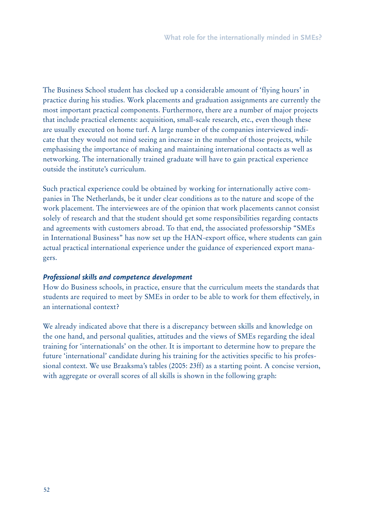The Business School student has clocked up a considerable amount of 'flying hours' in practice during his studies. Work placements and graduation assignments are currently the most important practical components. Furthermore, there are a number of major projects that include practical elements: acquisition, small-scale research, etc., even though these are usually executed on home turf. A large number of the companies interviewed indicate that they would not mind seeing an increase in the number of those projects, while emphasising the importance of making and maintaining international contacts as well as networking. The internationally trained graduate will have to gain practical experience outside the institute's curriculum.

Such practical experience could be obtained by working for internationally active companies in The Netherlands, be it under clear conditions as to the nature and scope of the work placement. The interviewees are of the opinion that work placements cannot consist solely of research and that the student should get some responsibilities regarding contacts and agreements with customers abroad. To that end, the associated professorship "SMEs in International Business" has now set up the HAN-export office, where students can gain actual practical international experience under the guidance of experienced export managers.

#### *Professional skills and competence development*

How do Business schools, in practice, ensure that the curriculum meets the standards that students are required to meet by SMEs in order to be able to work for them effectively, in an international context?

We already indicated above that there is a discrepancy between skills and knowledge on the one hand, and personal qualities, attitudes and the views of SMEs regarding the ideal training for 'internationals' on the other. It is important to determine how to prepare the future 'international' candidate during his training for the activities specific to his professional context. We use Braaksma's tables (2005: 23ff) as a starting point. A concise version, with aggregate or overall scores of all skills is shown in the following graph: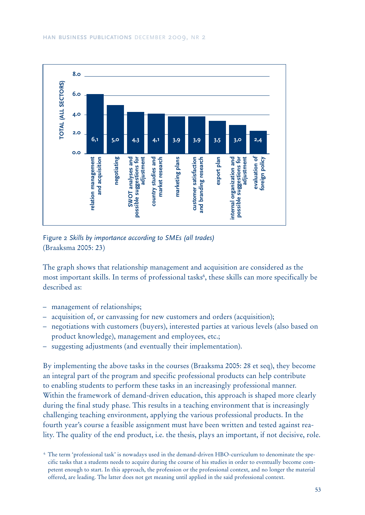

Figure 2 *Skills by importance according to SMEs (all trades)*  (Braaksma 2005: 23)

The graph shows that relationship management and acquisition are considered as the most important skills. In terms of professional tasks<sup>6</sup>, these skills can more specifically be described as:

- management of relationships;
- acquisition of, or canvassing for new customers and orders (acquisition);
- negotiations with customers (buyers), interested parties at various levels (also based on product knowledge), management and employees, etc.;
- suggesting adjustments (and eventually their implementation).

By implementing the above tasks in the courses (Braaksma 2005: 28 et seq), they become an integral part of the program and specific professional products can help contribute to enabling students to perform these tasks in an increasingly professional manner. Within the framework of demand-driven education, this approach is shaped more clearly during the final study phase. This results in a teaching environment that is increasingly challenging teaching environment, applying the various professional products. In the fourth year's course a feasible assignment must have been written and tested against reality. The quality of the end product, i.e. the thesis, plays an important, if not decisive, role.

<sup>6</sup> The term 'professional task' is nowadays used in the demand-driven HBO-curriculum to denominate the specific tasks that a students needs to acquire during the course of his studies in order to eventually become competent enough to start. In this approach, the profession or the professional context, and no longer the material offered, are leading. The latter does not get meaning until applied in the said professional context.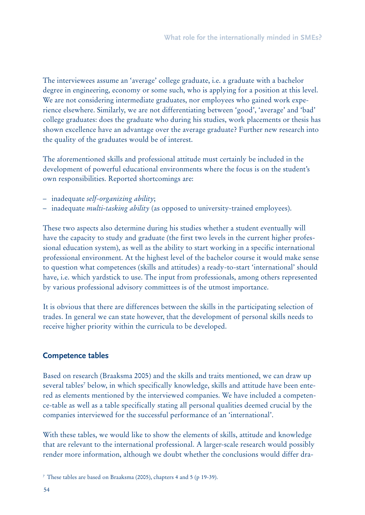The interviewees assume an 'average' college graduate, i.e. a graduate with a bachelor degree in engineering, economy or some such, who is applying for a position at this level. We are not considering intermediate graduates, nor employees who gained work experience elsewhere. Similarly, we are not differentiating between 'good', 'average' and 'bad' college graduates: does the graduate who during his studies, work placements or thesis has shown excellence have an advantage over the average graduate? Further new research into the quality of the graduates would be of interest.

The aforementioned skills and professional attitude must certainly be included in the development of powerful educational environments where the focus is on the student's own responsibilities. Reported shortcomings are:

- inadequate *self-organizing ability*;
- inadequate *multi-tasking ability* (as opposed to university-trained employees).

These two aspects also determine during his studies whether a student eventually will have the capacity to study and graduate (the first two levels in the current higher professional education system), as well as the ability to start working in a specific international professional environment. At the highest level of the bachelor course it would make sense to question what competences (skills and attitudes) a ready-to-start 'international' should have, i.e. which yardstick to use. The input from professionals, among others represented by various professional advisory committees is of the utmost importance.

It is obvious that there are differences between the skills in the participating selection of trades. In general we can state however, that the development of personal skills needs to receive higher priority within the curricula to be developed.

# **Competence tables**

Based on research (Braaksma 2005) and the skills and traits mentioned, we can draw up several tables<sup>7</sup> below, in which specifically knowledge, skills and attitude have been entered as elements mentioned by the interviewed companies. We have included a competence-table as well as a table specifically stating all personal qualities deemed crucial by the companies interviewed for the successful performance of an 'international'.

With these tables, we would like to show the elements of skills, attitude and knowledge that are relevant to the international professional. A larger-scale research would possibly render more information, although we doubt whether the conclusions would differ dra-

<sup>7</sup> These tables are based on Braaksma (2005), chapters 4 and 5 (p 19-39).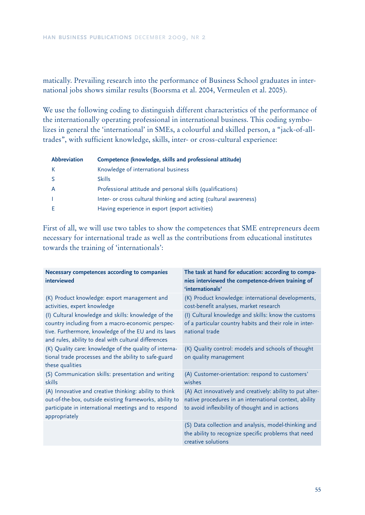matically. Prevailing research into the performance of Business School graduates in international jobs shows similar results (Boorsma et al. 2004, Vermeulen et al. 2005).

We use the following coding to distinguish different characteristics of the performance of the internationally operating professional in international business. This coding symbolizes in general the 'international' in SMEs, a colourful and skilled person, a "jack-of-alltrades", with sufficient knowledge, skills, inter- or cross-cultural experience:

| Competence (knowledge, skills and professional attitude)          |
|-------------------------------------------------------------------|
| Knowledge of international business                               |
| <b>Skills</b>                                                     |
| Professional attitude and personal skills (qualifications)        |
| Inter- or cross cultural thinking and acting (cultural awareness) |
| Having experience in export (export activities)                   |
|                                                                   |

First of all, we will use two tables to show the competences that SME entrepreneurs deem necessary for international trade as well as the contributions from educational institutes towards the training of 'internationals':

| Necessary competences according to companies<br>interviewed                                                                                                                                                            | The task at hand for education: according to compa-<br>nies interviewed the competence-driven training of<br>'internationals'                                            |
|------------------------------------------------------------------------------------------------------------------------------------------------------------------------------------------------------------------------|--------------------------------------------------------------------------------------------------------------------------------------------------------------------------|
| (K) Product knowledge: export management and<br>activities, expert knowledge                                                                                                                                           | (K) Product knowledge: international developments,<br>cost-benefit analyses, market research                                                                             |
| (I) Cultural knowledge and skills: knowledge of the<br>country including from a macro-economic perspec-<br>tive. Furthermore, knowledge of the EU and its laws<br>and rules, ability to deal with cultural differences | (I) Cultural knowledge and skills: know the customs<br>of a particular country habits and their role in inter-<br>national trade                                         |
| (K) Quality care: knowledge of the quality of interna-<br>tional trade processes and the ability to safe-guard<br>these qualities                                                                                      | (K) Quality control: models and schools of thought<br>on quality management                                                                                              |
| (S) Communication skills: presentation and writing<br>skills                                                                                                                                                           | (A) Customer-orientation: respond to customers'<br>wishes                                                                                                                |
| (A) Innovative and creative thinking: ability to think<br>out-of-the-box, outside existing frameworks, ability to<br>participate in international meetings and to respond<br>appropriately                             | (A) Act innovatively and creatively: ability to put alter-<br>native procedures in an international context, ability<br>to avoid inflexibility of thought and in actions |
|                                                                                                                                                                                                                        | (S) Data collection and analysis, model-thinking and<br>the ability to recognize specific problems that need<br>creative solutions                                       |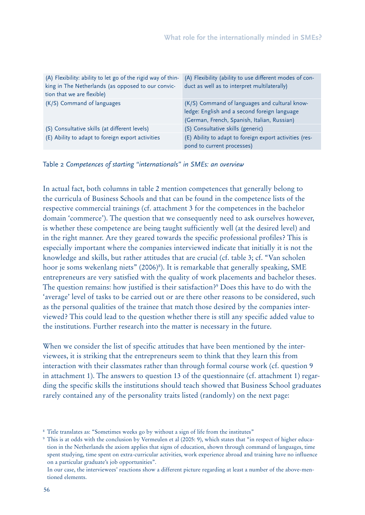| (A) Flexibility: ability to let go of the rigid way of thin-<br>king in The Netherlands (as opposed to our convic-<br>tion that we are flexible) | (A) Flexibility (ability to use different modes of con-<br>duct as well as to interpret multilaterally)                                      |
|--------------------------------------------------------------------------------------------------------------------------------------------------|----------------------------------------------------------------------------------------------------------------------------------------------|
| (K/S) Command of languages                                                                                                                       | (K/S) Command of languages and cultural know-<br>ledge: English and a second foreign language<br>(German, French, Spanish, Italian, Russian) |
| (S) Consultative skills (at different levels)                                                                                                    | (S) Consultative skills (generic)                                                                                                            |
| (E) Ability to adapt to foreign export activities                                                                                                | (E) Ability to adapt to foreign export activities (res-<br>pond to current processes)                                                        |

Table 2 *Competences of starting "internationals" in SMEs: an overview*

In actual fact, both columns in table 2 mention competences that generally belong to the curricula of Business Schools and that can be found in the competence lists of the respective commercial trainings (cf. attachment 3 for the competences in the bachelor domain 'commerce'). The question that we consequently need to ask ourselves however, is whether these competence are being taught sufficiently well (at the desired level) and in the right manner. Are they geared towards the specific professional profiles? This is especially important where the companies interviewed indicate that initially it is not the knowledge and skills, but rather attitudes that are crucial (cf. table 3; cf. "Van scholen hoor je soms wekenlang niets" (2006)8 ). It is remarkable that generally speaking, SME entrepreneurs are very satisfied with the quality of work placements and bachelor theses. The question remains: how justified is their satisfaction?9 Does this have to do with the 'average' level of tasks to be carried out or are there other reasons to be considered, such as the personal qualities of the trainee that match those desired by the companies interviewed? This could lead to the question whether there is still any specific added value to the institutions. Further research into the matter is necessary in the future.

When we consider the list of specific attitudes that have been mentioned by the interviewees, it is striking that the entrepreneurs seem to think that they learn this from interaction with their classmates rather than through formal course work (cf. question 9 in attachment 1). The answers to question 13 of the questionnaire (cf. attachment 1) regarding the specific skills the institutions should teach showed that Business School graduates rarely contained any of the personality traits listed (randomly) on the next page:

<sup>&</sup>lt;sup>8</sup> Title translates as: "Sometimes weeks go by without a sign of life from the institutes"

<sup>9</sup> This is at odds with the conclusion by Vermeulen et al (2005: 9), which states that "in respect of higher education in the Netherlands the axiom applies that signs of education, shown through command of languages, time spent studying, time spent on extra-curricular activities, work experience abroad and training have no influence on a particular graduate's job opportunities".

In our case, the interviewees' reactions show a different picture regarding at least a number of the above-mentioned elements.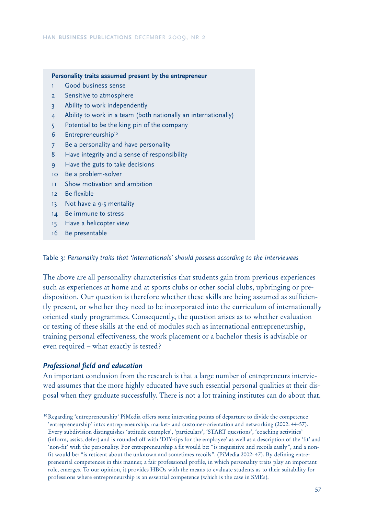#### **Personality traits assumed present by the entrepreneur**

- 1 Good business sense
- 2 Sensitive to atmosphere
- 3 Ability to work independently
- 4 Ability to work in a team (both nationally an internationally)
- 5 Potential to be the king pin of the company
- 6 Entrepreneurship<sup>10</sup>
- 7 Be a personality and have personality
- 8 Have integrity and a sense of responsibility
- 9 Have the guts to take decisions
- 10 Be a problem-solver
- 11 Show motivation and ambition
- 12 Be flexible
- 13 Not have a 9-5 mentality
- 14 Be immune to stress
- 15 Have a helicopter view
- 16 Be presentable

#### Table 3*: Personality traits that 'internationals' should possess according to the interviewees*

The above are all personality characteristics that students gain from previous experiences such as experiences at home and at sports clubs or other social clubs, upbringing or predisposition. Our question is therefore whether these skills are being assumed as sufficiently present, or whether they need to be incorporated into the curriculum of internationally oriented study programmes. Consequently, the question arises as to whether evaluation or testing of these skills at the end of modules such as international entrepreneurship, training personal effectiveness, the work placement or a bachelor thesis is advisable or even required – what exactly is tested?

#### *Professional field and education*

An important conclusion from the research is that a large number of entrepreneurs interviewed assumes that the more highly educated have such essential personal qualities at their disposal when they graduate successfully. There is not a lot training institutes can do about that.

<sup>10</sup> Regarding 'entrepreneurship' PiMedia offers some interesting points of departure to divide the competence 'entrepreneurship' into: entrepreneurship, market- and customer-orientation and networking (2002: 44-57). Every subdivision distinguishes 'attitude examples', 'particulars', 'START questions', 'coaching activities' (inform, assist, defer) and is rounded off with 'DIY-tips for the employee' as well as a description of the 'fit' and 'non-fit' with the personality. For entrepreneurship a fit would be: "is inquisitive and recoils easily", and a nonfit would be: "is reticent about the unknown and sometimes recoils". (PiMedia 2002: 47). By defining entrepreneurial competences in this manner, a fair professional profile, in which personality traits play an important role, emerges. To our opinion, it provides HBOs with the means to evaluate students as to their suitability for professions where entrepreneurship is an essential competence (which is the case in SMEs).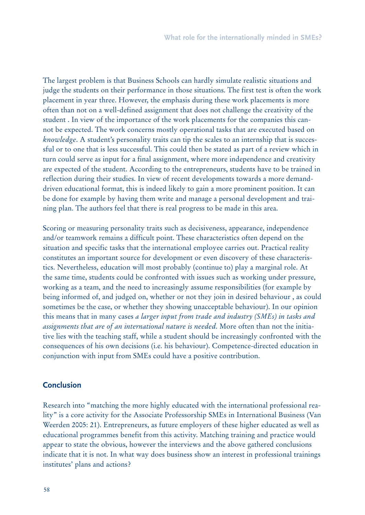The largest problem is that Business Schools can hardly simulate realistic situations and judge the students on their performance in those situations. The first test is often the work placement in year three. However, the emphasis during these work placements is more often than not on a well-defined assignment that does not challenge the creativity of the student . In view of the importance of the work placements for the companies this cannot be expected. The work concerns mostly operational tasks that are executed based on *knowledge*. A student's personality traits can tip the scales to an internship that is successful or to one that is less successful. This could then be stated as part of a review which in turn could serve as input for a final assignment, where more independence and creativity are expected of the student. According to the entrepreneurs, students have to be trained in reflection during their studies. In view of recent developments towards a more demanddriven educational format, this is indeed likely to gain a more prominent position. It can be done for example by having them write and manage a personal development and training plan. The authors feel that there is real progress to be made in this area.

Scoring or measuring personality traits such as decisiveness, appearance, independence and/or teamwork remains a difficult point. These characteristics often depend on the situation and specific tasks that the international employee carries out. Practical reality constitutes an important source for development or even discovery of these characteristics. Nevertheless, education will most probably (continue to) play a marginal role. At the same time, students could be confronted with issues such as working under pressure, working as a team, and the need to increasingly assume responsibilities (for example by being informed of, and judged on, whether or not they join in desired behaviour , as could sometimes be the case, or whether they showing unacceptable behaviour). In our opinion this means that in many cases *a larger input from trade and industry (SMEs) in tasks and assignments that are of an international nature is needed*. More often than not the initiative lies with the teaching staff, while a student should be increasingly confronted with the consequences of his own decisions (i.e. his behaviour). Competence-directed education in conjunction with input from SMEs could have a positive contribution.

## **Conclusion**

Research into "matching the more highly educated with the international professional reality" is a core activity for the Associate Professorship SMEs in International Business (Van Weerden 2005: 21). Entrepreneurs, as future employers of these higher educated as well as educational programmes benefit from this activity. Matching training and practice would appear to state the obvious, however the interviews and the above gathered conclusions indicate that it is not. In what way does business show an interest in professional trainings institutes' plans and actions?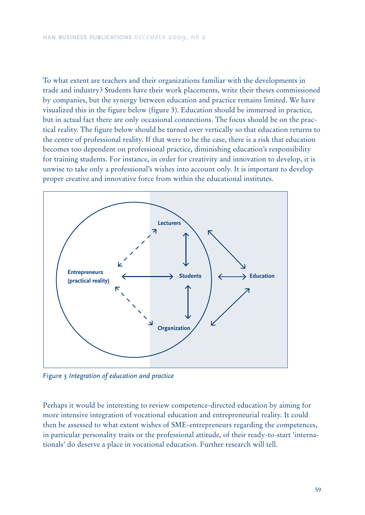To what extent are teachers and their organizations familiar with the developments in trade and industry? Students have their work placements, write their theses commissioned by companies, but the synergy between education and practice remains limited. We have visualized this in the figure below (figure 3). Education should be immersed in practice, but in actual fact there are only occasional connections. The focus should be on the practical reality. The figure below should be turned over vertically so that education returns to the centre of professional reality. If that were to be the case, there is a risk that education becomes too dependent on professional practice, diminishing education's responsibility for training students. For instance, in order for creativity and innovation to develop, it is unwise to take only a professional's wishes into account only. It is important to develop proper creative and innovative force from within the educational institutes.



Figure 3 *Integration of education and practice* 

Perhaps it would be interesting to review competence-directed education by aiming for more intensive integration of vocational education and entrepreneurial reality. It could then be assessed to what extent wishes of SME-entrepreneurs regarding the competences, in particular personality traits or the professional attitude, of their ready-to-start 'internationals' do deserve a place in vocational education. Further research will tell.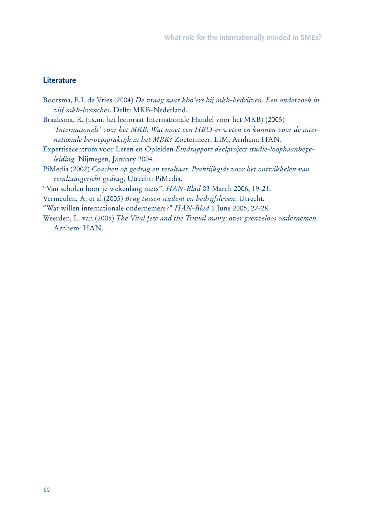# **Literature**

- Boorsma, E.I. de Vries (2004) *De vraag naar hbo'ers bij mkb-bedrijven. Een onderzoek in vijf mkb-branches*. Delft: MKB-Nederland.
- Braaksma, R. (i.s.m. het lectoraat Internationale Handel voor het MKB) (2005) *'Internationals' voor het MKB. Wat moet een HBO-er weten en kunnen voor de internationale beroepspraktijk in het MBK?* Zoetermeer: EIM; Arnhem: HAN.
- Expertisecentrum voor Leren en Opleiden *Eindrapport deelproject studie-loopbaanbegeleiding.* Nijmegen, January 2004.
- PiMedia (2002) *Coachen op gedrag en resultaat. Praktijkgids voor het ontwikkelen van resultaatgericht gedrag*. Utrecht: PiMedia.
- "Van scholen hoor je wekenlang niets". *HAN-Blad* 03 March 2006, 19-21.
- Vermeulen, A. et al (2005) *Brug tussen student en bedrijfsleven*. Utrecht.
- "Wat willen internationale ondernemers?" *HAN-Blad* 1 June 2005, 27-28.
- Weerden, L. van (2005) *The Vital few and the Trivial many: over grenzeloos ondernemen.*  Arnhem: HAN.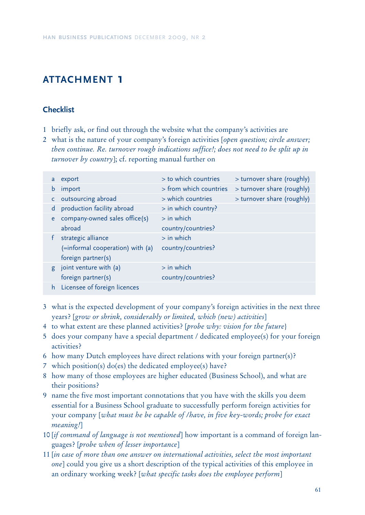# **attachment 1**

# **Checklist**

- 1 briefly ask, or find out through the website what the company's activities are
- 2 what is the nature of your company's foreign activities [*open question; circle answer; then continue. Re. turnover rough indications suffice!; does not need to be split up in turnover by country*]; cf. reporting manual further on

| a            | export                           | > to which countries   | > turnover share (roughly) |
|--------------|----------------------------------|------------------------|----------------------------|
| b            | import                           | > from which countries | > turnover share (roughly) |
| $\mathsf{C}$ | outsourcing abroad               | $>$ which countries    | > turnover share (roughly) |
| d            | production facility abroad       | > in which country?    |                            |
| e            | company-owned sales office(s)    | $>$ in which           |                            |
|              | abroad                           | country/countries?     |                            |
| $\mathsf{f}$ | strategic alliance               | $>$ in which           |                            |
|              | (=informal cooperation) with (a) | country/countries?     |                            |
|              | foreign partner(s)               |                        |                            |
| g            | joint venture with (a)           | $>$ in which           |                            |
|              | foreign partner(s)               | country/countries?     |                            |
|              | h Licensee of foreign licences   |                        |                            |

- 3 what is the expected development of your company's foreign activities in the next three years? [*grow or shrink, considerably or limited, which (new) activities*]
- 4 to what extent are these planned activities? [*probe why: vision for the future*}
- 5 does your company have a special department / dedicated employee(s) for your foreign activities?
- 6 how many Dutch employees have direct relations with your foreign partner(s)?
- 7 which position(s) do(es) the dedicated employee(s) have?
- 8 how many of those employees are higher educated (Business School), and what are their positions?
- 9 name the five most important connotations that you have with the skills you deem essential for a Business School graduate to successfully perform foreign activities for your company [*what must he be capable of /have, in five key-words; probe for exact meaning!*]
- 10 [*if command of language is not mentioned*] how important is a command of foreign languages? [*probe when of lesser importance*]
- 11 [*in case of more than one answer on international activities, select the most important one*] could you give us a short description of the typical activities of this employee in an ordinary working week? [*what specific tasks does the employee perform*]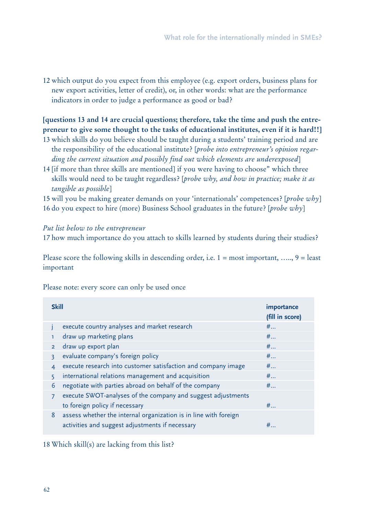12 which output do you expect from this employee (e.g. export orders, business plans for new export activities, letter of credit), or, in other words: what are the performance indicators in order to judge a performance as good or bad?

# **[questions 13 and 14 are crucial questions; therefore, take the time and push the entrepreneur to give some thought to the tasks of educational institutes, even if it is hard!!]**

- 13 which skills do you believe should be taught during a students' training period and are the responsibility of the educational institute? [*probe into entrepreneur's opinion regarding the current situation and possibly find out which elements are underexposed*]
- 14 [if more than three skills are mentioned] if you were having to choose" which three skills would need to be taught regardless? [*probe why, and how in practice; make it as tangible as possible*]

15 will you be making greater demands on your 'internationals' competences? [*probe why*] 16 do you expect to hire (more) Business School graduates in the future? [*probe why*]

# *Put list below to the entrepreneur*

17 how much importance do you attach to skills learned by students during their studies?

Please score the following skills in descending order, i.e.  $1 = \text{most important}, \ldots, 9 = \text{least}$ important

| <b>Skill</b>             |                                                                                                                     | importance<br>(fill in score) |
|--------------------------|---------------------------------------------------------------------------------------------------------------------|-------------------------------|
|                          | execute country analyses and market research                                                                        | #                             |
|                          | draw up marketing plans                                                                                             | #                             |
| $\overline{2}$           | draw up export plan                                                                                                 | #                             |
| $\overline{3}$           | evaluate company's foreign policy                                                                                   | #                             |
| $\overline{\mathcal{A}}$ | execute research into customer satisfaction and company image                                                       | #                             |
| 5                        | international relations management and acquisition                                                                  | #                             |
| 6                        | negotiate with parties abroad on behalf of the company                                                              | #                             |
| $\overline{7}$           | execute SWOT-analyses of the company and suggest adjustments                                                        |                               |
|                          | to foreign policy if necessary                                                                                      | #                             |
| 8                        | assess whether the internal organization is in line with foreign<br>activities and suggest adjustments if necessary | $#$                           |

Please note: every score can only be used once

## 18 Which skill(s) are lacking from this list?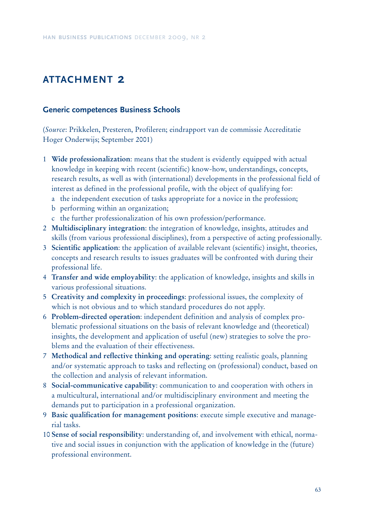# **attachment 2**

## **Generic competences Business Schools**

(*Source*: Prikkelen, Presteren, Profileren; eindrapport van de commissie Accreditatie Hoger Onderwijs; September 2001)

- 1 **Wide professionalization**: means that the student is evidently equipped with actual knowledge in keeping with recent (scientific) know-how, understandings, concepts, research results, as well as with (international) developments in the professional field of interest as defined in the professional profile, with the object of qualifying for:
	- a the independent execution of tasks appropriate for a novice in the profession;
	- b performing within an organization;
	- c the further professionalization of his own profession/performance.
- 2 **Multidisciplinary integration**: the integration of knowledge, insights, attitudes and skills (from various professional disciplines), from a perspective of acting professionally.
- 3 **Scientific application**: the application of available relevant (scientific) insight, theories, concepts and research results to issues graduates will be confronted with during their professional life.
- 4 **Transfer and wide employability**: the application of knowledge, insights and skills in various professional situations.
- 5 **Creativity and complexity in proceedings**: professional issues, the complexity of which is not obvious and to which standard procedures do not apply.
- 6 **Problem-directed operation**: independent definition and analysis of complex problematic professional situations on the basis of relevant knowledge and (theoretical) insights, the development and application of useful (new) strategies to solve the problems and the evaluation of their effectiveness.
- 7 **Methodical and reflective thinking and operating**: setting realistic goals, planning and/or systematic approach to tasks and reflecting on (professional) conduct, based on the collection and analysis of relevant information.
- 8 **Social-communicative capability**: communication to and cooperation with others in a multicultural, international and/or multidisciplinary environment and meeting the demands put to participation in a professional organization.
- 9 **Basic qualification for management positions**: execute simple executive and managerial tasks.
- 10 **Sense of social responsibility**: understanding of, and involvement with ethical, normative and social issues in conjunction with the application of knowledge in the (future) professional environment.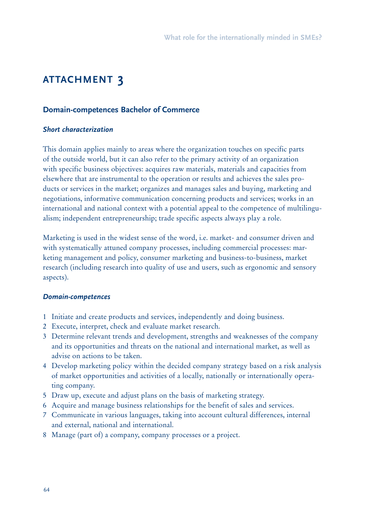# **attachment 3**

#### **Domain-competences Bachelor of Commerce**

## *Short characterization*

This domain applies mainly to areas where the organization touches on specific parts of the outside world, but it can also refer to the primary activity of an organization with specific business objectives: acquires raw materials, materials and capacities from elsewhere that are instrumental to the operation or results and achieves the sales products or services in the market; organizes and manages sales and buying, marketing and negotiations, informative communication concerning products and services; works in an international and national context with a potential appeal to the competence of multilingualism; independent entrepreneurship; trade specific aspects always play a role.

Marketing is used in the widest sense of the word, i.e. market- and consumer driven and with systematically attuned company processes, including commercial processes: marketing management and policy, consumer marketing and business-to-business, market research (including research into quality of use and users, such as ergonomic and sensory aspects).

#### *Domain-competences*

- 1 Initiate and create products and services, independently and doing business.
- 2 Execute, interpret, check and evaluate market research.
- 3 Determine relevant trends and development, strengths and weaknesses of the company and its opportunities and threats on the national and international market, as well as advise on actions to be taken.
- 4 Develop marketing policy within the decided company strategy based on a risk analysis of market opportunities and activities of a locally, nationally or internationally operating company.
- 5 Draw up, execute and adjust plans on the basis of marketing strategy.
- 6 Acquire and manage business relationships for the benefit of sales and services.
- 7 Communicate in various languages, taking into account cultural differences, internal and external, national and international.
- 8 Manage (part of) a company, company processes or a project.